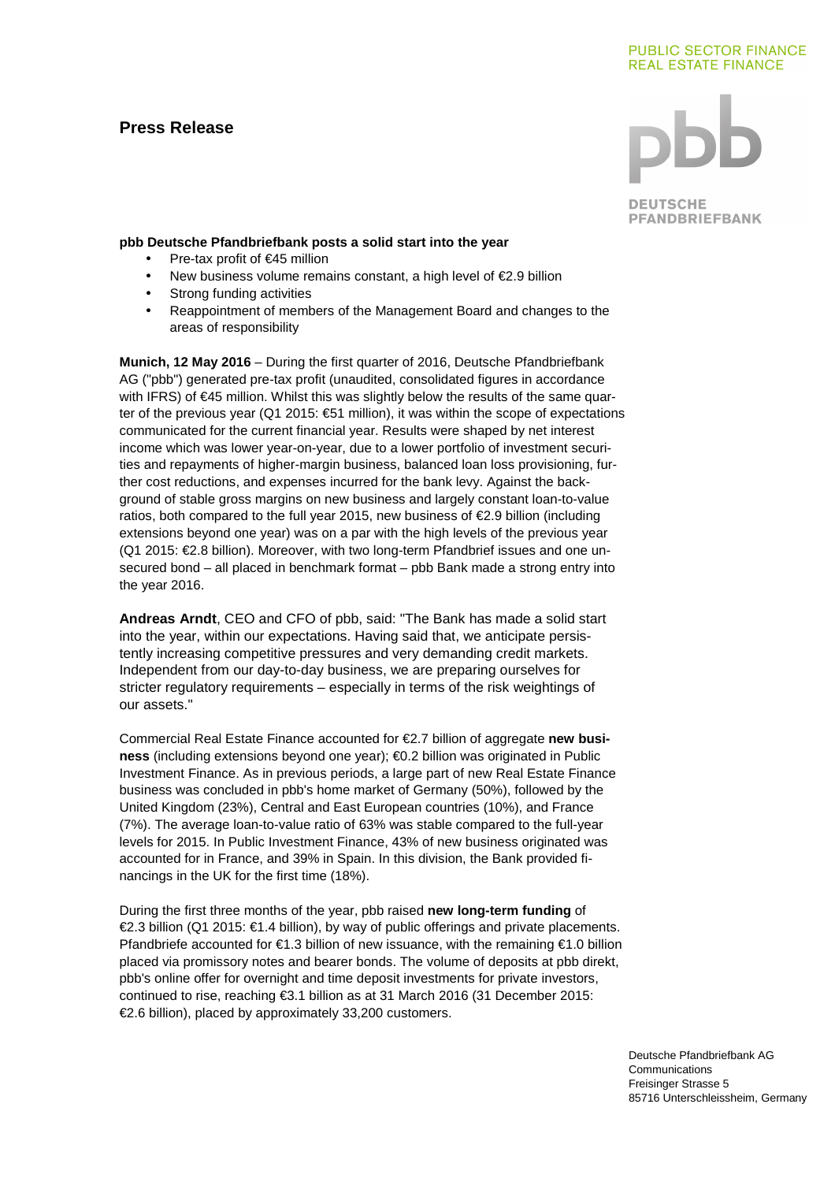# **Press Release**

# **PUBLIC SECTOR FINANCE REAL ESTATE FINANCE**



**DEUTSCHE PFANDBRIEFBANK** 

### **pbb Deutsche Pfandbriefbank posts a solid start into the year**

- Pre-tax profit of €45 million
- New business volume remains constant, a high level of €2.9 billion
- Strong funding activities
- Reappointment of members of the Management Board and changes to the areas of responsibility

**Munich, 12 May 2016** – During the first quarter of 2016, Deutsche Pfandbriefbank AG ("pbb") generated pre-tax profit (unaudited, consolidated figures in accordance with IFRS) of €45 million. Whilst this was slightly below the results of the same quarter of the previous year (Q1 2015: €51 million), it was within the scope of expectations communicated for the current financial year. Results were shaped by net interest income which was lower year-on-year, due to a lower portfolio of investment securities and repayments of higher-margin business, balanced loan loss provisioning, further cost reductions, and expenses incurred for the bank levy. Against the background of stable gross margins on new business and largely constant loan-to-value ratios, both compared to the full year 2015, new business of €2.9 billion (including extensions beyond one year) was on a par with the high levels of the previous year (Q1 2015: €2.8 billion). Moreover, with two long-term Pfandbrief issues and one unsecured bond – all placed in benchmark format – pbb Bank made a strong entry into the year 2016.

**Andreas Arndt**, CEO and CFO of pbb, said: "The Bank has made a solid start into the year, within our expectations. Having said that, we anticipate persistently increasing competitive pressures and very demanding credit markets. Independent from our day-to-day business, we are preparing ourselves for stricter regulatory requirements – especially in terms of the risk weightings of our assets."

Commercial Real Estate Finance accounted for €2.7 billion of aggregate **new business** (including extensions beyond one year); €0.2 billion was originated in Public Investment Finance. As in previous periods, a large part of new Real Estate Finance business was concluded in pbb's home market of Germany (50%), followed by the United Kingdom (23%), Central and East European countries (10%), and France (7%). The average loan-to-value ratio of 63% was stable compared to the full-year levels for 2015. In Public Investment Finance, 43% of new business originated was accounted for in France, and 39% in Spain. In this division, the Bank provided financings in the UK for the first time (18%).

During the first three months of the year, pbb raised **new long-term funding** of €2.3 billion (Q1 2015: €1.4 billion), by way of publc offerings and private placements. Pfandbriefe accounted for €1.3 billion of new issuance, with the remaining €1.0 billion placed via promissory notes and bearer bonds. The volume of deposits at pbb direkt, pbb's online offer for overnight and time deposit investments for private investors, continued to rise, reaching €3.1 billion as at 31 March 2016 (31 December 2015: €2.6 billion), placed by approximately 33,200 customers.

> Deutsche Pfandbriefbank AG **Communications** Freisinger Strasse 5 85716 Unterschleissheim, Germany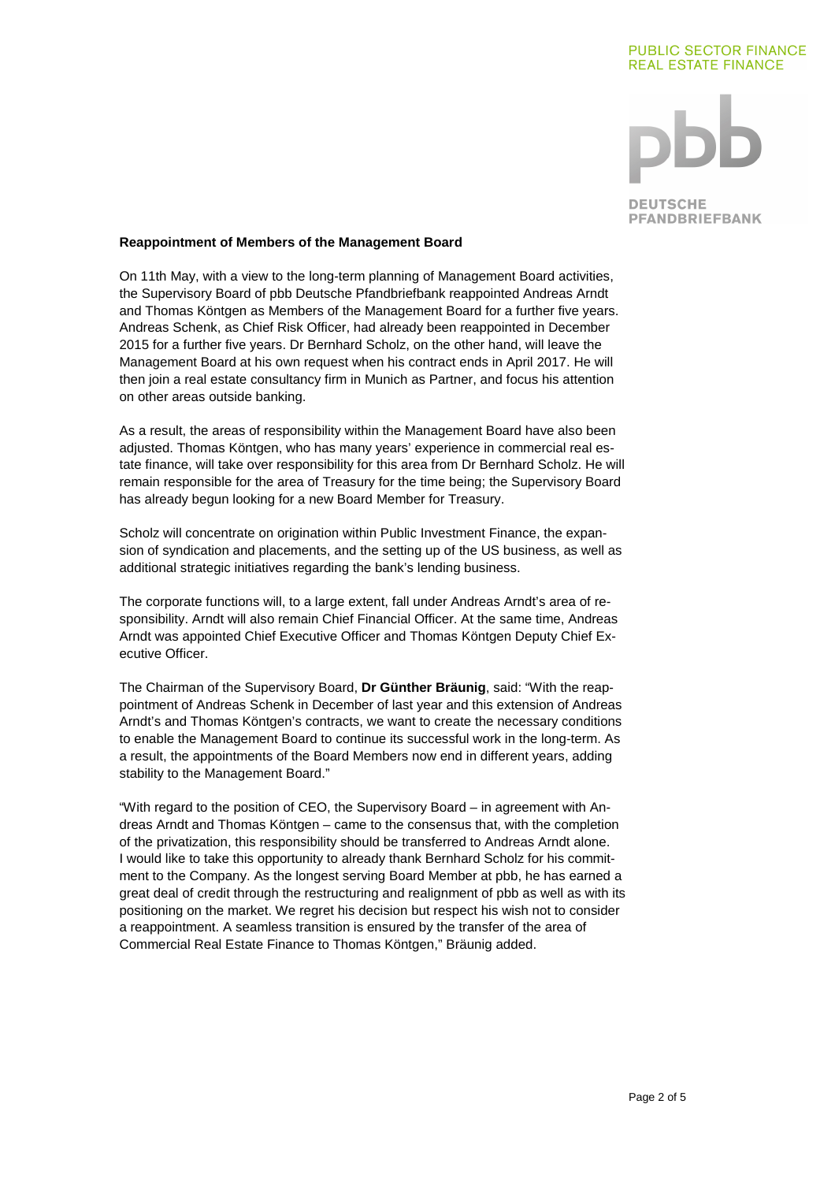# **PUBLIC SECTOR FINANCE REAL ESTATE FINANCE**



**DEUTSCHE PFANDBRIEFBANK** 

### **Reappointment of Members of the Management Board**

On 11th May, with a view to the long-term planning of Management Board activities, the Supervisory Board of pbb Deutsche Pfandbriefbank reappointed Andreas Arndt and Thomas Köntgen as Members of the Management Board for a further five years. Andreas Schenk, as Chief Risk Officer, had already been reappointed in December 2015 for a further five years. Dr Bernhard Scholz, on the other hand, will leave the Management Board at his own request when his contract ends in April 2017. He will then join a real estate consultancy firm in Munich as Partner, and focus his attention on other areas outside banking.

As a result, the areas of responsibility within the Management Board have also been adjusted. Thomas Köntgen, who has many years' experience in commercial real estate finance, will take over responsibility for this area from Dr Bernhard Scholz. He will remain responsible for the area of Treasury for the time being; the Supervisory Board has already begun looking for a new Board Member for Treasury.

Scholz will concentrate on origination within Public Investment Finance, the expansion of syndication and placements, and the setting up of the US business, as well as additional strategic initiatives regarding the bank's lending business.

The corporate functions will, to a large extent, fall under Andreas Arndt's area of responsibility. Arndt will also remain Chief Financial Officer. At the same time, Andreas Arndt was appointed Chief Executive Officer and Thomas Köntgen Deputy Chief Executive Officer.

The Chairman of the Supervisory Board, **Dr Günther Bräunig**, said: "With the reappointment of Andreas Schenk in December of last year and this extension of Andreas Arndt's and Thomas Köntgen's contracts, we want to create the necessary conditions to enable the Management Board to continue its successful work in the long-term. As a result, the appointments of the Board Members now end in different years, adding stability to the Management Board."

"With regard to the position of CEO, the Supervisory Board – in agreement with Andreas Arndt and Thomas Köntgen – came to the consensus that, with the completion of the privatization, this responsibility should be transferred to Andreas Arndt alone. I would like to take this opportunity to already thank Bernhard Scholz for his commitment to the Company. As the longest serving Board Member at pbb, he has earned a great deal of credit through the restructuring and realignment of pbb as well as with its positioning on the market. We regret his decision but respect his wish not to consider a reappointment. A seamless transition is ensured by the transfer of the area of Commercial Real Estate Finance to Thomas Köntgen," Bräunig added.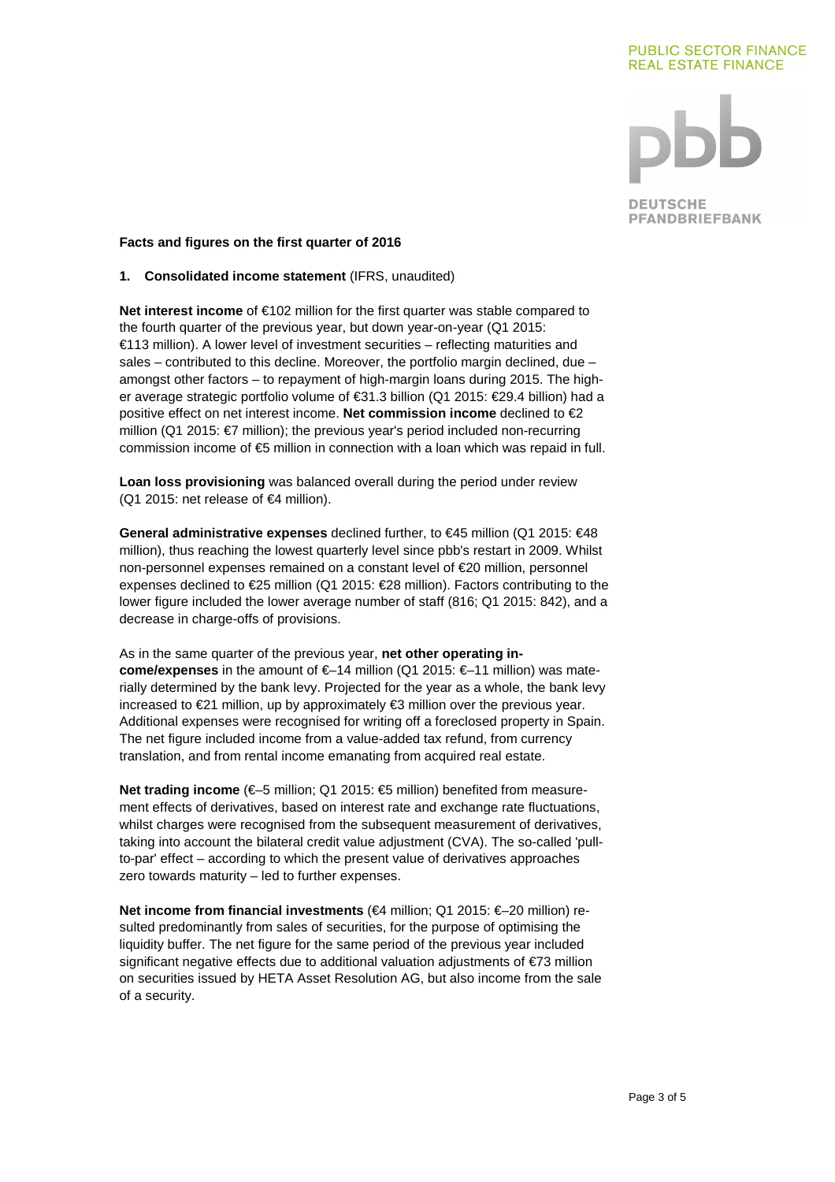## **PUBLIC SECTOR FINANCE REAL ESTATE FINANCE**



**DEUTSCHE PFANDBRIEFBANK** 

### **Facts and figures on the first quarter of 2016**

## **1. Consolidated income statement** (IFRS, unaudited)

**Net interest income** of €102 million for the first quarter was stable compared to the fourth quarter of the previous year, but down year-on-year (Q1 2015: €113 million). A lower level of investment securities – reflecting maturities and sales  $-$  contributed to this decline. Moreover, the portfolio margin declined, due  $$ amongst other factors – to repayment of high-margin loans during 2015. The higher average strategic portfolio volume of €31.3 billion (Q1 2015: €29.4 billion) had a positive effect on net interest income. **Net commission income** declined to €2 million (Q1 2015: €7 million); the previous year's period included non-recurring commission income of €5 million in connection with a loan which was repaid in full.

**Loan loss provisioning** was balanced overall during the period under review (Q1 2015: net release of €4 million).

**General administrative expenses** declined further, to €45 million (Q1 2015: €48 million), thus reaching the lowest quarterly level since pbb's restart in 2009. Whilst non-personnel expenses remained on a constant level of €20 million, personnel expenses declined to €25 million (Q1 2015: €28 million). Factors contributing to the lower figure included the lower average number of staff (816; Q1 2015: 842), and a decrease in charge-offs of provisions.

As in the same quarter of the previous year, **net other operating income/expenses** in the amount of €–14 million (Q1 2015: €–11 million) was materially determined by the bank levy. Projected for the year as a whole, the bank levy increased to €21 million, up by approximately €3 million over the previous year. Additional expenses were recognised for writing off a foreclosed property in Spain. The net figure included income from a value-added tax refund, from currency translation, and from rental income emanating from acquired real estate.

**Net trading income** (€–5 million; Q1 2015: €5 million) benefited from measurement effects of derivatives, based on interest rate and exchange rate fluctuations, whilst charges were recognised from the subsequent measurement of derivatives, taking into account the bilateral credit value adjustment (CVA). The so-called 'pullto-par' effect – according to which the present value of derivatives approaches zero towards maturity – led to further expenses.

**Net income from financial investments** (€4 million; Q1 2015: €–20 million) resulted predominantly from sales of securities, for the purpose of optimising the liquidity buffer. The net figure for the same period of the previous year included significant negative effects due to additional valuation adjustments of €73 million on securities issued by HETA Asset Resolution AG, but also income from the sale of a security.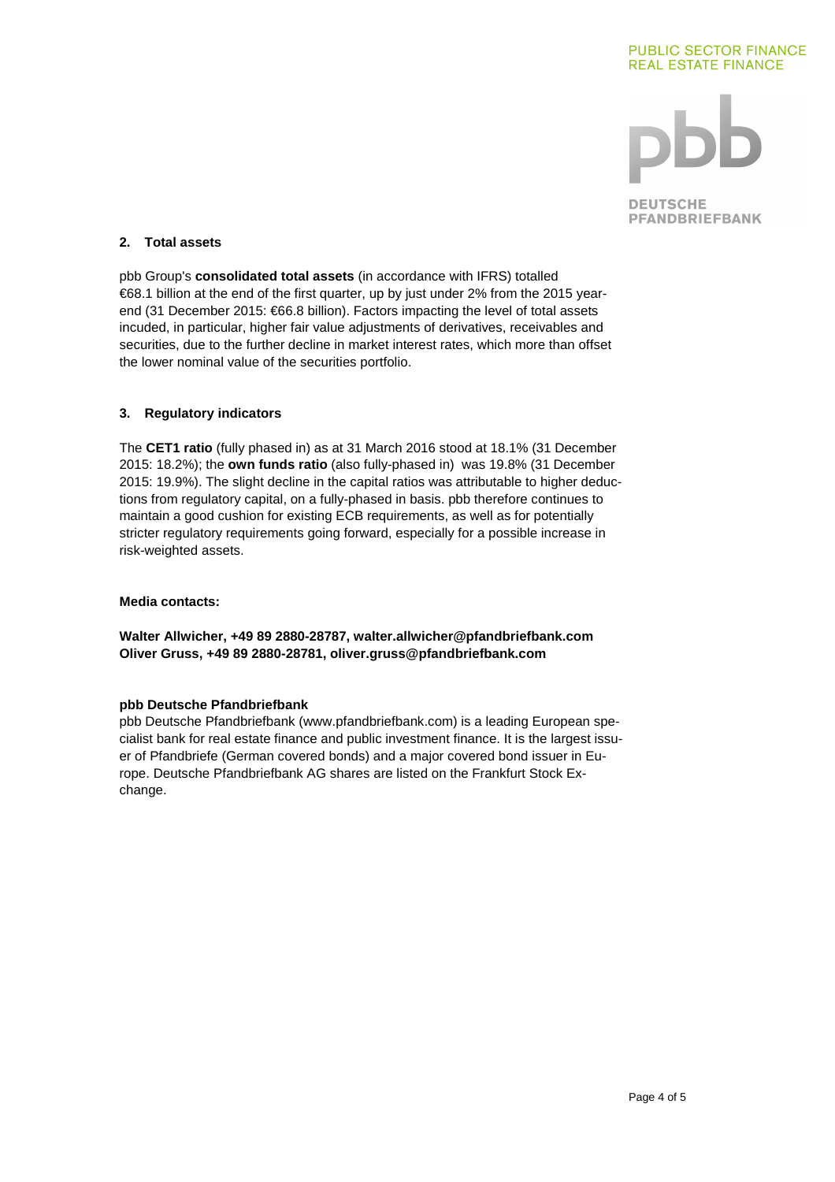



**DEUTSCHE PFANDBRIEFBANK** 

# **2. Total assets**

pbb Group's **consolidated total assets** (in accordance with IFRS) totalled €68.1 billion at the end of the first quarter, up by just under 2% from the 2015 yearend (31 December 2015: €66.8 billion). Factors impacting the level of total assets incuded, in particular, higher fair value adjustments of derivatives, receivables and securities, due to the further decline in market interest rates, which more than offset the lower nominal value of the securities portfolio.

## **3. Regulatory indicators**

The **CET1 ratio** (fully phased in) as at 31 March 2016 stood at 18.1% (31 December 2015: 18.2%); the **own funds ratio** (also fully-phased in) was 19.8% (31 December 2015: 19.9%). The slight decline in the capital ratios was attributable to higher deductions from regulatory capital, on a fully-phased in basis. pbb therefore continues to maintain a good cushion for existing ECB requirements, as well as for potentially stricter regulatory requirements going forward, especially for a possible increase in risk-weighted assets.

### **Media contacts:**

**Walter Allwicher, +49 89 2880-28787, walter.allwicher@pfandbriefbank.com Oliver Gruss, +49 89 2880-28781, oliver.gruss@pfandbriefbank.com** 

### **pbb Deutsche Pfandbriefbank**

pbb Deutsche Pfandbriefbank (www.pfandbriefbank.com) is a leading European specialist bank for real estate finance and public investment finance. It is the largest issuer of Pfandbriefe (German covered bonds) and a major covered bond issuer in Europe. Deutsche Pfandbriefbank AG shares are listed on the Frankfurt Stock Exchange.